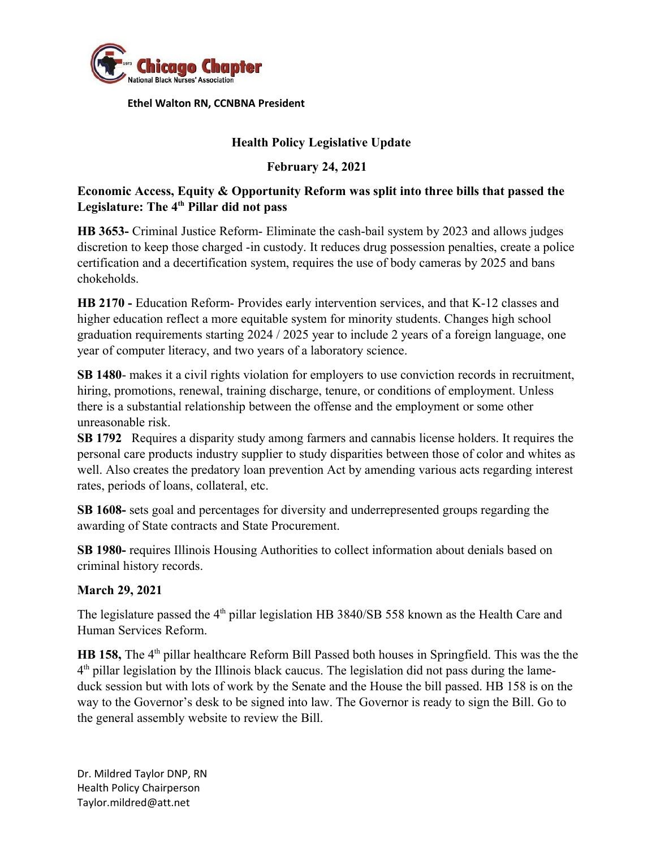

 **Ethel Walton RN, CCNBNA President**

# **Health Policy Legislative Update**

# **February 24, 2021**

# **Economic Access, Equity & Opportunity Reform was split into three bills that passed the Legislature: The 4th Pillar did not pass**

**HB 3653-** Criminal Justice Reform- Eliminate the cash-bail system by 2023 and allows judges discretion to keep those charged -in custody. It reduces drug possession penalties, create a police certification and a decertification system, requires the use of body cameras by 2025 and bans chokeholds.

**HB 2170 -** Education Reform- Provides early intervention services, and that K-12 classes and higher education reflect a more equitable system for minority students. Changes high school graduation requirements starting 2024 / 2025 year to include 2 years of a foreign language, one year of computer literacy, and two years of a laboratory science.

**SB 1480**- makes it a civil rights violation for employers to use conviction records in recruitment, hiring, promotions, renewal, training discharge, tenure, or conditions of employment. Unless there is a substantial relationship between the offense and the employment or some other unreasonable risk.

**SB 1792** Requires a disparity study among farmers and cannabis license holders. It requires the personal care products industry supplier to study disparities between those of color and whites as well. Also creates the predatory loan prevention Act by amending various acts regarding interest rates, periods of loans, collateral, etc.

**SB 1608-** sets goal and percentages for diversity and underrepresented groups regarding the awarding of State contracts and State Procurement.

**SB 1980-** requires Illinois Housing Authorities to collect information about denials based on criminal history records.

#### **March 29, 2021**

The legislature passed the 4<sup>th</sup> pillar legislation HB 3840/SB 558 known as the Health Care and Human Services Reform.

**HB 158,** The 4<sup>th</sup> pillar healthcare Reform Bill Passed both houses in Springfield. This was the the 4<sup>th</sup> pillar legislation by the Illinois black caucus. The legislation did not pass during the lameduck session but with lots of work by the Senate and the House the bill passed. HB 158 is on the way to the Governor's desk to be signed into law. The Governor is ready to sign the Bill. Go to the general assembly website to review the Bill.